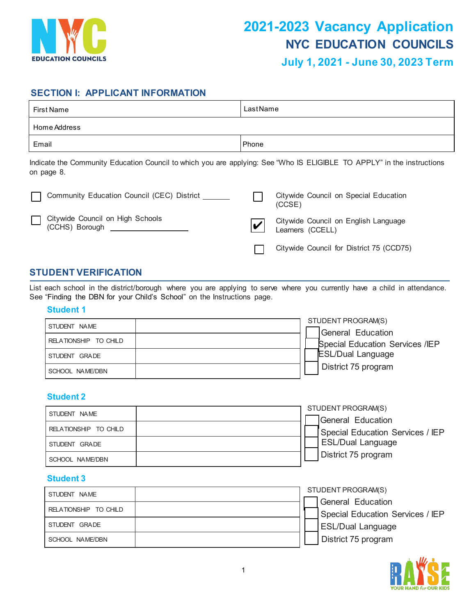

# **SECTION I: APPLICANT INFORMATION**

| First Name   | LastName |
|--------------|----------|
| Home Address |          |
| Email        | Phone    |

Indicate the Community Education Council to which you are applying: See "Who IS ELIGIBLE TO APPLY" in the instructions on page 8.

| Community Education Council (CEC) District ______  | Citywide Council on Special Education<br>(CCSE)          |
|----------------------------------------------------|----------------------------------------------------------|
| Citywide Council on High Schools<br>(CCHS) Borough | Citywide Council on English Language<br>Learners (CCELL) |
|                                                    | Citywide Council for District 75 (CCD75)                 |

# **STUDENT VERIFICATION**

List each school in the district/borough where you are applying to serve where you currently have a child in attendance. See "Finding the DBN for your Child's School" on the Instructions page.

## **Student 1**

| STUDENT NAME          | STUDENT PROGRAM(S)              |
|-----------------------|---------------------------------|
|                       | General Education               |
| RELATIONSHIP TO CHILD | Special Education Services /IEP |
| STUDENT GRADE         | <b>ESL/Dual Language</b>        |
| SCHOOL NAME/DBN       | District 75 program             |

## **Student 2**

| STUDENT NAME          |  | STUDENT PROGRAM(S)               |
|-----------------------|--|----------------------------------|
|                       |  | General Education                |
| RELATIONSHIP TO CHILD |  | Special Education Services / IEP |
| STUDENT GRADE         |  | <b>ESL/Dual Language</b>         |
| SCHOOL NAME/DBN       |  | District 75 program              |

## **Student 3**

| STUDENT NAME          |  | STUDENT PROGRAM(S)               |
|-----------------------|--|----------------------------------|
|                       |  | General Education                |
| RELATIONSHIP TO CHILD |  | Special Education Services / IEP |
| STUDENT GRADE         |  | <b>ESL/Dual Language</b>         |
| SCHOOL NAME/DBN       |  | District 75 program              |

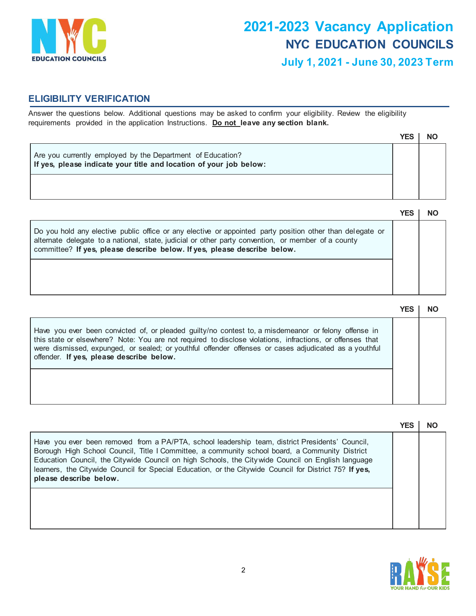

# **ELIGIBILITY VERIFICATION**

Answer the questions below. Additional questions may be asked to confirm your eligibility. Review the eligibility requirements provided in the application Instructions. **Do not leave any section blank.**

|                                                                                                                                  | YES |  |
|----------------------------------------------------------------------------------------------------------------------------------|-----|--|
| Are you currently employed by the Department of Education?<br>If yes, please indicate your title and location of your job below: |     |  |
|                                                                                                                                  |     |  |

|                                                                                                                                                                                                                                                                                             | YES |  |
|---------------------------------------------------------------------------------------------------------------------------------------------------------------------------------------------------------------------------------------------------------------------------------------------|-----|--|
| Do you hold any elective public office or any elective or appointed party position other than delegate or<br>alternate delegate to a national, state, judicial or other party convention, or member of a county<br>committee? If yes, please describe below. If yes, please describe below. |     |  |

|                                                                                                                                                                                                                                                                                                                                                                        | YES |  |
|------------------------------------------------------------------------------------------------------------------------------------------------------------------------------------------------------------------------------------------------------------------------------------------------------------------------------------------------------------------------|-----|--|
| Have you ever been convicted of, or pleaded guilty/no contest to, a misdemeanor or felony offense in<br>this state or elsewhere? Note: You are not required to disclose violations, infractions, or offenses that<br>were dismissed, expunged, or sealed; or youthful offender offenses or cases adjudicated as a youthful<br>offender. If yes, please describe below. |     |  |
|                                                                                                                                                                                                                                                                                                                                                                        |     |  |

|                                                                                                                                                                                                                                                                                                                                                                                                                                            | YES |  |
|--------------------------------------------------------------------------------------------------------------------------------------------------------------------------------------------------------------------------------------------------------------------------------------------------------------------------------------------------------------------------------------------------------------------------------------------|-----|--|
| Have you ever been removed from a PA/PTA, school leadership team, district Presidents' Council,<br>Borough High School Council, Title I Committee, a community school board, a Community District<br>Education Council, the Citywide Council on high Schools, the Citywide Council on English language<br>learners, the Citywide Council for Special Education, or the Citywide Council for District 75? If yes,<br>please describe below. |     |  |
|                                                                                                                                                                                                                                                                                                                                                                                                                                            |     |  |

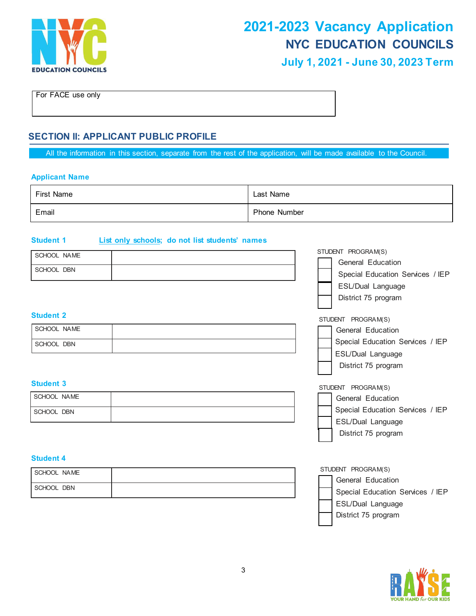

For FACE use only

# **SECTION II: APPLICANT PUBLIC PROFILE**

All the information in this section, separate from the rest of the application, will be made available to the Council.

#### **Applicant Name**

| First Name | Last Name           |
|------------|---------------------|
| Email      | <b>Phone Number</b> |

#### **Student 1 List only schools; do not list students' names**

| SCHOOL NAME      | STUDENT PROGRAM(S)               |
|------------------|----------------------------------|
|                  | General Education                |
| SCHOOL DBN       | Special Education Services / IEP |
|                  | ESL/Dual Language                |
|                  | District 75 program              |
| <b>Student 2</b> | STUDENT PROGRAM(S)               |
| SCHOOL NAME      | General Education                |
|                  | Special Education Services / IEP |
| SCHOOL DBN       |                                  |
|                  | ESL/Dual Language                |
|                  | District 75 program              |
| <b>Student 3</b> | STUDENT PROGRAM(S)               |
| SCHOOL NAME      | General Education                |
| SCHOOL DBN       | Special Education Services / IEP |
|                  | ESL/Dual Language                |
|                  | District 75 program              |
|                  |                                  |
| <b>Student 4</b> |                                  |
| SCHOOL NAME      | STUDENT PROGRAM(S)               |
| SCHOOL DBN       | General Education                |
|                  | Special Education Services / IEP |
|                  | ESL/Dual Language                |
|                  | District 75 program              |
|                  |                                  |

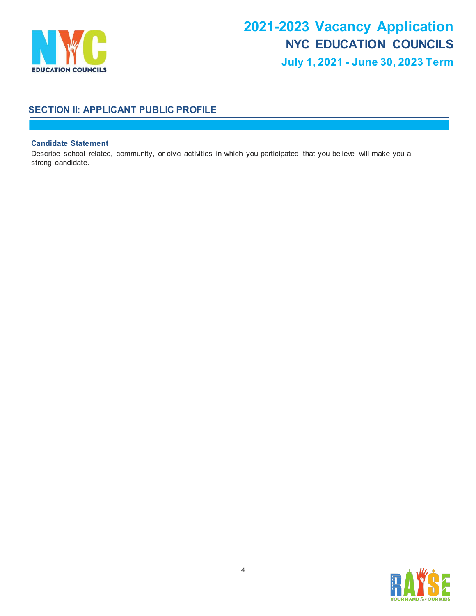

# **SECTION II: APPLICANT PUBLIC PROFILE**

#### **Candidate Statement**

Describe school related, community, or civic activities in which you participated that you believe will make you a strong candidate.

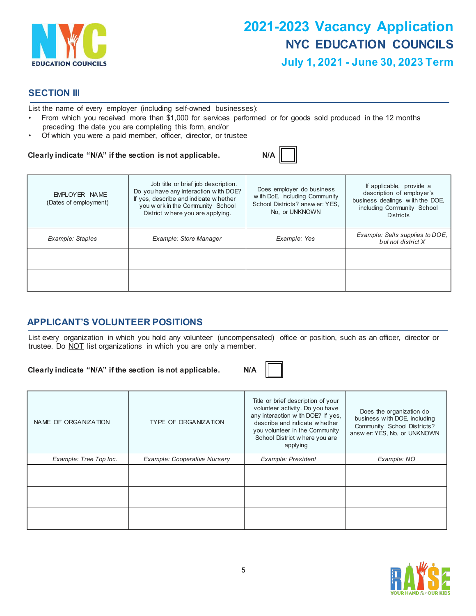

## **SECTION III**

List the name of every employer (including self-owned businesses):

- From which you received more than \$1,000 for services performed or for goods sold produced in the 12 months preceding the date you are completing this form, and/or
- Of which you were a paid member, officer, director, or trustee

#### Clearly indicate "N/A" if the section is not applicable.

|--|

| EMPLOYER NAME<br>(Dates of employment) | Job title or brief job description.<br>Do you have any interaction with DOE?<br>If yes, describe and indicate w hether<br>you w ork in the Community School<br>District w here you are applying. | Does employer do business<br>w ith DoE, including Community<br>School Districts? answer: YES.<br>No, or UNKNOWN | If applicable, provide a<br>description of employer's<br>business dealings with the DOE,<br>including Community School<br><b>Districts</b> |
|----------------------------------------|--------------------------------------------------------------------------------------------------------------------------------------------------------------------------------------------------|-----------------------------------------------------------------------------------------------------------------|--------------------------------------------------------------------------------------------------------------------------------------------|
| Example: Staples                       | Example: Store Manager                                                                                                                                                                           | Example: Yes                                                                                                    | Example: Sells supplies to DOE,<br>but not district X                                                                                      |
|                                        |                                                                                                                                                                                                  |                                                                                                                 |                                                                                                                                            |
|                                        |                                                                                                                                                                                                  |                                                                                                                 |                                                                                                                                            |

# **APPLICANT'S VOLUNTEER POSITIONS**

List every organization in which you hold any volunteer (uncompensated) office or position, such as an officer, director or trustee. Do NOT list organizations in which you are only a member.

**Clearly indicate "N/A" if the section is not applicable. N/A**



| NAME OF ORGANIZATION   | TYPE OF ORGANIZATION         | Title or brief description of your<br>volunteer activity. Do you have<br>any interaction with DOE? If yes,<br>describe and indicate whether<br>you volunteer in the Community<br>School District where you are<br>applying | Does the organization do<br>business w ith DOE, including<br>Community School Districts?<br>answ er: YES, No, or UNKNOWN |
|------------------------|------------------------------|----------------------------------------------------------------------------------------------------------------------------------------------------------------------------------------------------------------------------|--------------------------------------------------------------------------------------------------------------------------|
| Example: Tree Top Inc. | Example: Cooperative Nursery | Example: President                                                                                                                                                                                                         | Example: NO                                                                                                              |
|                        |                              |                                                                                                                                                                                                                            |                                                                                                                          |
|                        |                              |                                                                                                                                                                                                                            |                                                                                                                          |
|                        |                              |                                                                                                                                                                                                                            |                                                                                                                          |

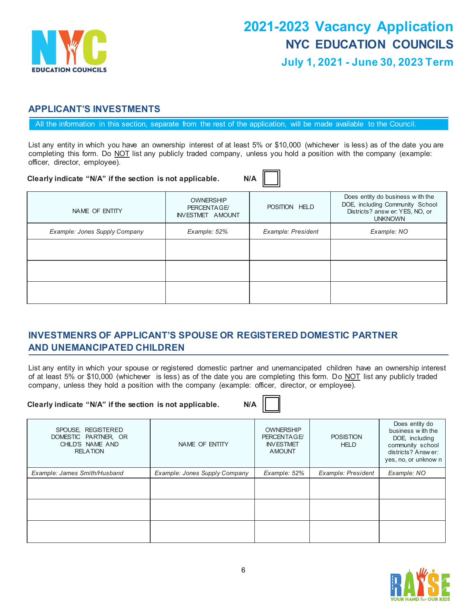

# **APPLICANT'S INVESTMENTS**

All the information in this section, separate from the rest of the application, will be made available to the Council.

List any entity in which you have an ownership interest of at least 5% or \$10,000 (whichever is less) as of the date you are completing this form. Do NOT list any publicly traded company, unless you hold a position with the company (example: officer, director, employee).

 $\equiv$ 

| Clearly indicate "N/A" if the section is not applicable. |                                                            | N/A                |                                                                                                                          |
|----------------------------------------------------------|------------------------------------------------------------|--------------------|--------------------------------------------------------------------------------------------------------------------------|
| NAME OF ENTITY                                           | <b>OWNERSHIP</b><br>PERCENTAGE/<br><b>INVESTMET AMOUNT</b> | POSITION HELD      | Does entity do business with the<br>DOE, including Community School<br>Districts? answ er: YES, NO, or<br><b>UNKNOWN</b> |
| Example: Jones Supply Company                            | Example: 52%                                               | Example: President | Example: NO                                                                                                              |
|                                                          |                                                            |                    |                                                                                                                          |
|                                                          |                                                            |                    |                                                                                                                          |
|                                                          |                                                            |                    |                                                                                                                          |

# **INVESTMENRS OF APPLICANT'S SPOUSE OR REGISTERED DOMESTIC PARTNER AND UNEMANCIPATED CHILDREN**

List any entity in which your spouse or registered domestic partner and unemancipated children have an ownership interest of at least 5% or \$10,000 (whichever is less) as of the date you are completing this form. Do NOT list any publicly traded company, unless they hold a position with the company (example: officer, director, or employee).

#### **Clearly indicate "N/A" if the section is not applicable. N/A**

| SPOUSE, REGISTERED<br>DOMESTIC PARTNER, OR<br>CHILD'S NAME AND<br><b>RELATION</b> | NAME OF ENTITY                | <b>OWNERSHIP</b><br>PERCENTAGE/<br><b>INVESTMET</b><br><b>AMOUNT</b> | <b>POSISTION</b><br><b>HELD</b> | Does entity do<br>business with the<br>DOE, including<br>community school<br>districts? Answer:<br>yes, no, or unknow n |
|-----------------------------------------------------------------------------------|-------------------------------|----------------------------------------------------------------------|---------------------------------|-------------------------------------------------------------------------------------------------------------------------|
| Example: James Smith/Husband                                                      | Example: Jones Supply Company | Example: 52%                                                         | Example: President              | Example: NO                                                                                                             |
|                                                                                   |                               |                                                                      |                                 |                                                                                                                         |
|                                                                                   |                               |                                                                      |                                 |                                                                                                                         |
|                                                                                   |                               |                                                                      |                                 |                                                                                                                         |

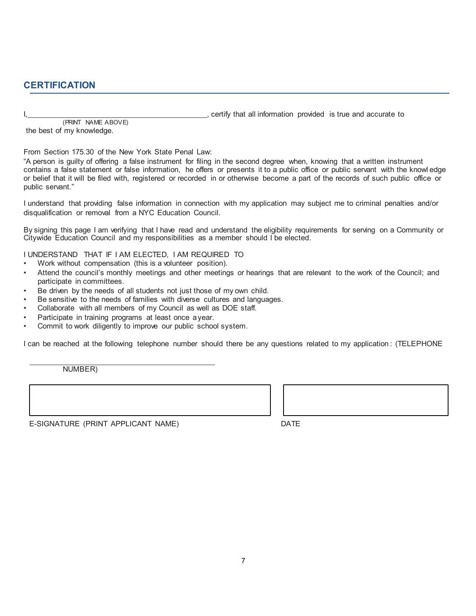# **CERTIFICATION**

..., certify that all information provided is true and accurate to

(PRINT NAME ABOVE) the best of my knowledge.

From Section 175.30 of the New York State Penal Law:

"A person is guilty of offering a false instrument for filing in the second degree when, knowing that a written instrument contains a false statement or false information, he offers or presents it to a public office or public servant with the knowl edge or belief that it will be filed with, registered or recorded in or otherwise become a part of the records of such public office or public servant."

I understand that providing false information in connection with my application may subject me to criminal penalties and/or disqualification or removal from a NYC Education Council.

By signing this page I am verifying that I have read and understand the eligibility requirements for serving on a Community or Citywide Education Council and my responsibilities as a member should I be elected.

I UNDERSTAND THAT IF I AM ELECTED, I AM REQUIRED TO

- Work without compensation (this is a volunteer position).
- Attend the council's monthly meetings and other meetings or hearings that are relevant to the work of the Council; and participate in committees.
- Be driven by the needs of all students not just those of my own child.
- Be sensitive to the needs of families with diverse cultures and languages.
- Collaborate with all members of my Council as well as DOE staff.
- Participate in training programs at least once a year.
- Commit to work diligently to improve our public school system.

I can be reached at the following telephone number should there be any questions related to my application : (TELEPHONE

NUMBER)

E-SIGNATURE (PRINT APPLICANT NAME) DATE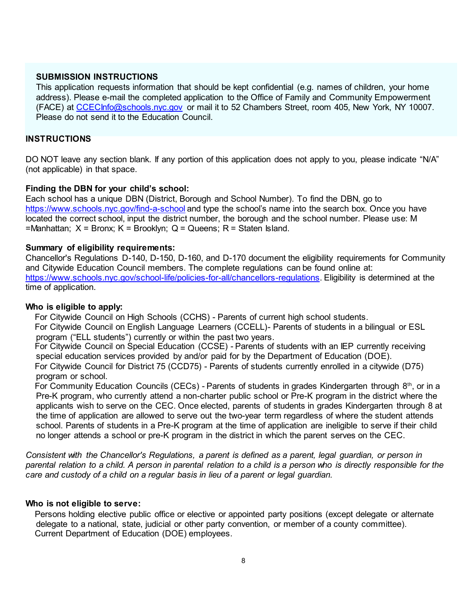## **SUBMISSION INSTRUCTIONS**

This application requests information that should be kept confidential (e.g. names of children, your home address). Please e-mail the completed application to the Office of Family and Community Empowerment (FACE) at CCECInfo@schools.nyc.gov or mail it to 52 Chambers Street, room 405, New York, NY 10007. Please do not send it to the Education Council.

## **INSTRUCTIONS**

DO NOT leave any section blank. If any portion of this application does not apply to you, please indicate "N/A" (not applicable) in that space.

## **Finding the DBN for your child's school:**

Each school has a unique DBN (District, Borough and School Number). To find the DBN, go to https://www.schools.nyc.gov/find-a-school and type the school's name into the search box. Once you have located the correct school, input the district number, the borough and the school number. Please use: M  $=$ Manhattan;  $X =$  Bronx;  $K =$  Brooklyn;  $Q =$  Queens; R = Staten Island.

## **Summary of eligibility requirements:**

Chancellor's Regulations D-140, D-150, D-160, and D-170 document the eligibility requirements for Community and Citywide Education Council members. The complete regulations can be found online at: https://www.schools.nyc.gov/school-life/policies-for-all/chancellors-regulations. Eligibility is determined at the time of application.

#### **Who is eligible to apply:**

 For Citywide Council on High Schools (CCHS) - Parents of current high school students. For Citywide Council on English Language Learners (CCELL)- Parents of students in a bilingual or ESL program ("ELL students") currently or within the past two years.

 For Citywide Council on Special Education (CCSE) - Parents of students with an IEP currently receiving special education services provided by and/or paid for by the Department of Education (DOE). For Citywide Council for District 75 (CCD75) - Parents of students currently enrolled in a citywide (D75) program or school.

For Community Education Councils (CECs) - Parents of students in grades Kindergarten through  $8<sup>th</sup>$ , or in a Pre-K program, who currently attend a non-charter public school or Pre-K program in the district where the applicants wish to serve on the CEC. Once elected, parents of students in grades Kindergarten through 8 at the time of application are allowed to serve out the two-year term regardless of where the student attends school. Parents of students in a Pre-K program at the time of application are ineligible to serve if their child no longer attends a school or pre-K program in the district in which the parent serves on the CEC.

*Consistent with the Chancellor's Regulations, a parent is defined as a parent, legal guardian, or person in parental relation to a child. A person in parental relation to a child is a person who is directly responsible for the care and custody of a child on a regular basis in lieu of a parent or legal guardian.*

#### **Who is not eligible to serve:**

 Persons holding elective public office or elective or appointed party positions (except delegate or alternate delegate to a national, state, judicial or other party convention, or member of a county committee). Current Department of Education (DOE) employees.